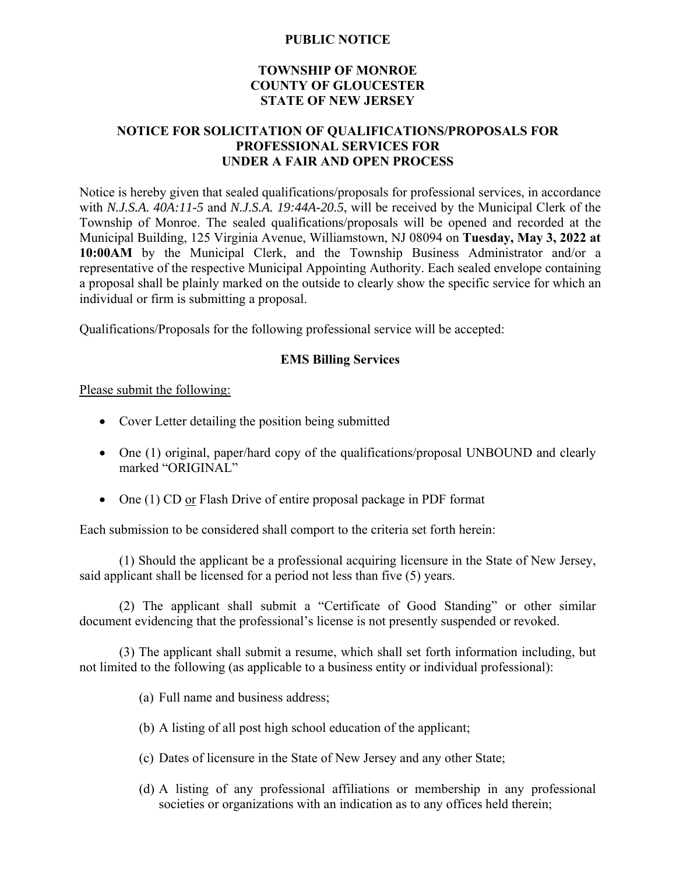## **PUBLIC NOTICE**

## **TOWNSHIP OF MONROE COUNTY OF GLOUCESTER STATE OF NEW JERSEY**

## **NOTICE FOR SOLICITATION OF QUALIFICATIONS/PROPOSALS FOR PROFESSIONAL SERVICES FOR UNDER A FAIR AND OPEN PROCESS**

Notice is hereby given that sealed qualifications/proposals for professional services, in accordance with *N.J.S.A. 40A:11-5* and *N.J.S.A. 19:44A-20.5*, will be received by the Municipal Clerk of the Township of Monroe. The sealed qualifications/proposals will be opened and recorded at the Municipal Building, 125 Virginia Avenue, Williamstown, NJ 08094 on **Tuesday, May 3, 2022 at 10:00AM** by the Municipal Clerk, and the Township Business Administrator and/or a representative of the respective Municipal Appointing Authority. Each sealed envelope containing a proposal shall be plainly marked on the outside to clearly show the specific service for which an individual or firm is submitting a proposal.

Qualifications/Proposals for the following professional service will be accepted:

## **EMS Billing Services**

Please submit the following:

- Cover Letter detailing the position being submitted
- One (1) original, paper/hard copy of the qualifications/proposal UNBOUND and clearly marked "ORIGINAL"
- One (1) CD or Flash Drive of entire proposal package in PDF format

Each submission to be considered shall comport to the criteria set forth herein:

(1) Should the applicant be a professional acquiring licensure in the State of New Jersey, said applicant shall be licensed for a period not less than five (5) years.

(2) The applicant shall submit a "Certificate of Good Standing" or other similar document evidencing that the professional's license is not presently suspended or revoked.

(3) The applicant shall submit a resume, which shall set forth information including, but not limited to the following (as applicable to a business entity or individual professional):

- (a) Full name and business address;
- (b) A listing of all post high school education of the applicant;
- (c) Dates of licensure in the State of New Jersey and any other State;
- (d) A listing of any professional affiliations or membership in any professional societies or organizations with an indication as to any offices held therein;